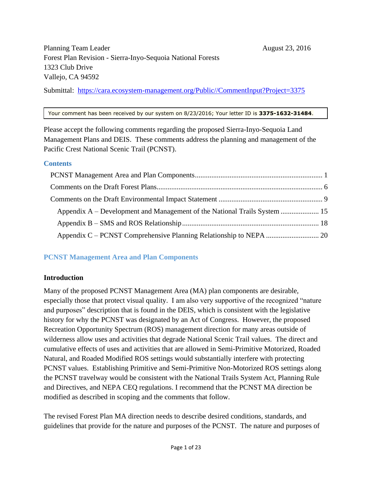Submittal: https://cara.ecosystem-management.org/Public//CommentInput?Project=3375

#### Your comment has been received by our system on 8/23/2016; Your letter ID is **3375-1632-31484**.

Please accept the following comments regarding the proposed Sierra-Inyo-Sequoia Land Management Plans and DEIS. These comments address the planning and management of the Pacific Crest National Scenic Trail (PCNST).

## **Contents**

| Appendix A – Development and Management of the National Trails System  15 |  |
|---------------------------------------------------------------------------|--|
|                                                                           |  |
|                                                                           |  |

# <span id="page-0-0"></span>**PCNST Management Area and Plan Components**

# **Introduction**

Many of the proposed PCNST Management Area (MA) plan components are desirable, especially those that protect visual quality. I am also very supportive of the recognized "nature and purposes" description that is found in the DEIS, which is consistent with the legislative history for why the PCNST was designated by an Act of Congress. However, the proposed Recreation Opportunity Spectrum (ROS) management direction for many areas outside of wilderness allow uses and activities that degrade National Scenic Trail values. The direct and cumulative effects of uses and activities that are allowed in Semi-Primitive Motorized, Roaded Natural, and Roaded Modified ROS settings would substantially interfere with protecting PCNST values. Establishing Primitive and Semi-Primitive Non-Motorized ROS settings along the PCNST travelway would be consistent with the National Trails System Act, Planning Rule and Directives, and NEPA CEQ regulations. I recommend that the PCNST MA direction be modified as described in scoping and the comments that follow.

The revised Forest Plan MA direction needs to describe desired conditions, standards, and guidelines that provide for the nature and purposes of the PCNST. The nature and purposes of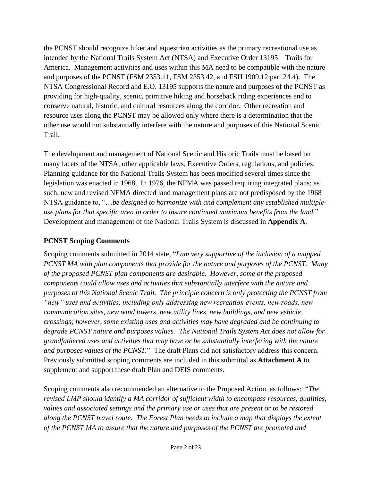the PCNST should recognize hiker and equestrian activities as the primary recreational use as intended by the National Trails System Act (NTSA) and Executive Order 13195 – Trails for America. Management activities and uses within this MA need to be compatible with the nature and purposes of the PCNST (FSM 2353.11, FSM 2353.42, and FSH 1909.12 part 24.4). The NTSA Congressional Record and E.O. 13195 supports the nature and purposes of the PCNST as providing for high-quality, scenic, primitive hiking and horseback riding experiences and to conserve natural, historic, and cultural resources along the corridor. Other recreation and resource uses along the PCNST may be allowed only where there is a determination that the other use would not substantially interfere with the nature and purposes of this National Scenic Trail.

The development and management of National Scenic and Historic Trails must be based on many facets of the NTSA, other applicable laws, Executive Orders, regulations, and policies. Planning guidance for the National Trails System has been modified several times since the legislation was enacted in 1968. In 1976, the NFMA was passed requiring integrated plans; as such, new and revised NFMA directed land management plans are not predisposed by the 1968 NTSA guidance to, "…*be designed to harmonize with and complement any established multipleuse plans for that specific area in order to insure continued maximum benefits from the land.*" Development and management of the National Trails System is discussed in **Appendix A**.

## **PCNST Scoping Comments**

Scoping comments submitted in 2014 state, "*I am very supportive of the inclusion of a mapped PCNST MA with plan components that provide for the nature and purposes of the PCNST. Many of the proposed PCNST plan components are desirable. However, some of the proposed components could allow uses and activities that substantially interfere with the nature and purposes of this National Scenic Trail. The principle concern is only protecting the PCNST from "new" uses and activities, including only addressing new recreation events, new roads, new communication sites, new wind towers, new utility lines, new buildings, and new vehicle crossings; however, some existing uses and activities may have degraded and be continuing to degrade PCNST nature and purposes values. The National Trails System Act does not allow for grandfathered uses and activities that may have or be substantially interfering with the nature and purposes values of the PCNST.*" The draft Plans did not satisfactory address this concern. Previously submitted scoping comments are included in this submittal as **Attachment A** to supplement and support these draft Plan and DEIS comments.

Scoping comments also recommended an alternative to the Proposed Action, as follows: "*The revised LMP should identify a MA corridor of sufficient width to encompass resources, qualities, values and associated settings and the primary use or uses that are present or to be restored along the PCNST travel route. The Forest Plan needs to include a map that displays the extent of the PCNST MA to assure that the nature and purposes of the PCNST are promoted and*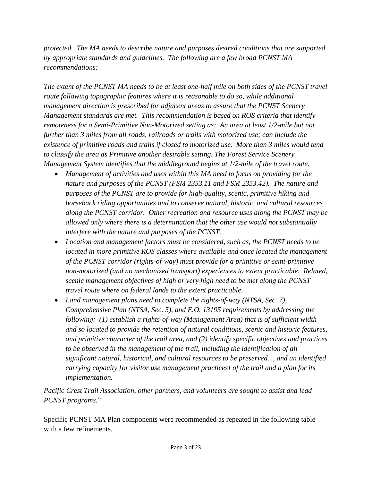*protected. The MA needs to describe nature and purposes desired conditions that are supported by appropriate standards and guidelines. The following are a few broad PCNST MA recommendations:*

*The extent of the PCNST MA needs to be at least one-half mile on both sides of the PCNST travel route following topographic features where it is reasonable to do so, while additional management direction is prescribed for adjacent areas to assure that the PCNST Scenery Management standards are met. This recommendation is based on ROS criteria that identify remoteness for a Semi-Primitive Non-Motorized setting as: An area at least 1/2-mile but not further than 3 miles from all roads, railroads or trails with motorized use; can include the existence of primitive roads and trails if closed to motorized use. More than 3 miles would tend to classify the area as Primitive another desirable setting. The Forest Service Scenery Management System identifies that the middleground begins at 1/2-mile of the travel route.*

- *Management of activities and uses within this MA need to focus on providing for the nature and purposes of the PCNST (FSM 2353.11 and FSM 2353.42). The nature and purposes of the PCNST are to provide for high-quality, scenic, primitive hiking and horseback riding opportunities and to conserve natural, historic, and cultural resources along the PCNST corridor. Other recreation and resource uses along the PCNST may be allowed only where there is a determination that the other use would not substantially interfere with the nature and purposes of the PCNST.*
- *Location and management factors must be considered, such as, the PCNST needs to be located in more primitive ROS classes where available and once located the management of the PCNST corridor (rights-of-way) must provide for a primitive or semi-primitive non-motorized (and no mechanized transport) experiences to extent practicable. Related, scenic management objectives of high or very high need to be met along the PCNST travel route where on federal lands to the extent practicable.*
- *Land management plans need to complete the rights-of-way (NTSA, Sec. 7), Comprehensive Plan (NTSA, Sec. 5), and E.O. 13195 requirements by addressing the following: (1) establish a rights-of-way (Management Area) that is of sufficient width and so located to provide the retention of natural conditions, scenic and historic features, and primitive character of the trail area, and (2) identify specific objectives and practices to be observed in the management of the trail, including the identification of all significant natural, historical, and cultural resources to be preserved..., and an identified carrying capacity [or visitor use management practices] of the trail and a plan for its implementation.*

*Pacific Crest Trail Association, other partners, and volunteers are sought to assist and lead PCNST programs.*"

Specific PCNST MA Plan components were recommended as repeated in the following table with a few refinements.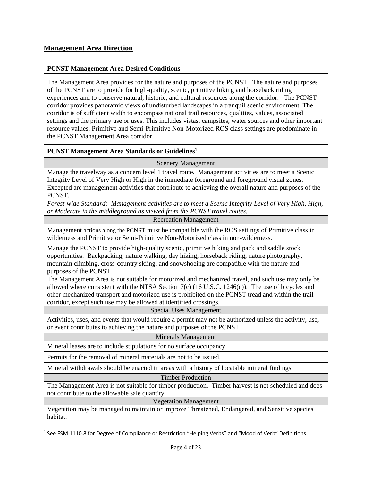#### **PCNST Management Area Desired Conditions**

The Management Area provides for the nature and purposes of the PCNST. The nature and purposes of the PCNST are to provide for high-quality, scenic, primitive hiking and horseback riding experiences and to conserve natural, historic, and cultural resources along the corridor. The PCNST corridor provides panoramic views of undisturbed landscapes in a tranquil scenic environment. The corridor is of sufficient width to encompass national trail resources, qualities, values, associated settings and the primary use or uses. This includes vistas, campsites, water sources and other important resource values. Primitive and Semi-Primitive Non-Motorized ROS class settings are predominate in the PCNST Management Area corridor.

#### **PCNST Management Area Standards or Guidelines<sup>1</sup>**

Scenery Management

Manage the travelway as a concern level 1 travel route. Management activities are to meet a Scenic Integrity Level of Very High or High in the immediate foreground and foreground visual zones. Excepted are management activities that contribute to achieving the overall nature and purposes of the PCNST.

*Forest-wide Standard: Management activities are to meet a Scenic Integrity Level of Very High, High, or Moderate in the middleground as viewed from the PCNST travel routes.*

Recreation Management

Management actions along the PCNST must be compatible with the ROS settings of Primitive class in wilderness and Primitive or Semi-Primitive Non-Motorized class in non-wilderness.

Manage the PCNST to provide high-quality scenic, primitive hiking and pack and saddle stock opportunities. Backpacking, nature walking, day hiking, horseback riding, nature photography, mountain climbing, cross-country skiing, and snowshoeing are compatible with the nature and purposes of the PCNST.

The Management Area is not suitable for motorized and mechanized travel, and such use may only be allowed where consistent with the NTSA Section  $7(c)$  (16 U.S.C. 1246 $(c)$ ). The use of bicycles and other mechanized transport and motorized use is prohibited on the PCNST tread and within the trail corridor, except such use may be allowed at identified crossings.

Special Uses Management

Activities, uses, and events that would require a permit may not be authorized unless the activity, use, or event contributes to achieving the nature and purposes of the PCNST.

#### Minerals Management

Mineral leases are to include stipulations for no surface occupancy.

Permits for the removal of mineral materials are not to be issued.

l

Mineral withdrawals should be enacted in areas with a history of locatable mineral findings.

Timber Production

The Management Area is not suitable for timber production. Timber harvest is not scheduled and does not contribute to the allowable sale quantity.

Vegetation Management

Vegetation may be managed to maintain or improve Threatened, Endangered, and Sensitive species habitat.

<sup>&</sup>lt;sup>1</sup> See FSM 1110.8 for Degree of Compliance or Restriction "Helping Verbs" and "Mood of Verb" Definitions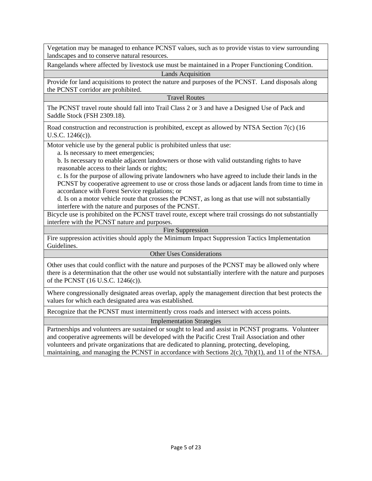Vegetation may be managed to enhance PCNST values, such as to provide vistas to view surrounding landscapes and to conserve natural resources.

Rangelands where affected by livestock use must be maintained in a Proper Functioning Condition.

Lands Acquisition

Provide for land acquisitions to protect the nature and purposes of the PCNST. Land disposals along the PCNST corridor are prohibited.

Travel Routes

The PCNST travel route should fall into Trail Class 2 or 3 and have a Designed Use of Pack and Saddle Stock (FSH 2309.18).

Road construction and reconstruction is prohibited, except as allowed by NTSA Section 7(c) (16 U.S.C. 1246(c)).

Motor vehicle use by the general public is prohibited unless that use:

a. Is necessary to meet emergencies;

b. Is necessary to enable adjacent landowners or those with valid outstanding rights to have reasonable access to their lands or rights;

c. Is for the purpose of allowing private landowners who have agreed to include their lands in the PCNST by cooperative agreement to use or cross those lands or adjacent lands from time to time in accordance with Forest Service regulations; or

d. Is on a motor vehicle route that crosses the PCNST, as long as that use will not substantially interfere with the nature and purposes of the PCNST.

Bicycle use is prohibited on the PCNST travel route, except where trail crossings do not substantially interfere with the PCNST nature and purposes.

Fire Suppression

Fire suppression activities should apply the Minimum Impact Suppression Tactics Implementation Guidelines.

#### Other Uses Considerations

Other uses that could conflict with the nature and purposes of the PCNST may be allowed only where there is a determination that the other use would not substantially interfere with the nature and purposes of the PCNST (16 U.S.C. 1246(c)).

Where congressionally designated areas overlap, apply the management direction that best protects the values for which each designated area was established.

Recognize that the PCNST must intermittently cross roads and intersect with access points.

Implementation Strategies

Partnerships and volunteers are sustained or sought to lead and assist in PCNST programs. Volunteer and cooperative agreements will be developed with the Pacific Crest Trail Association and other volunteers and private organizations that are dedicated to planning, protecting, developing, maintaining, and managing the PCNST in accordance with Sections 2(c), 7(h)(1), and 11 of the NTSA.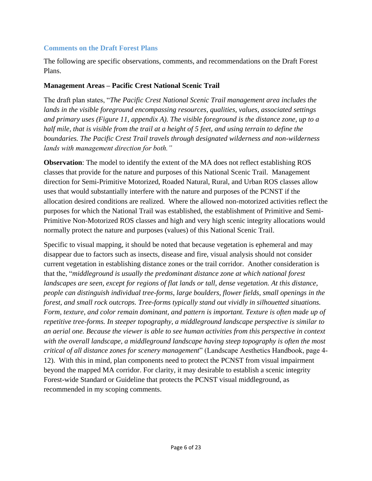### <span id="page-5-0"></span>**Comments on the Draft Forest Plans**

The following are specific observations, comments, and recommendations on the Draft Forest Plans.

### **Management Areas – Pacific Crest National Scenic Trail**

The draft plan states, "*The Pacific Crest National Scenic Trail management area includes the lands in the visible foreground encompassing resources, qualities, values, associated settings and primary uses (Figure 11, appendix A). The visible foreground is the distance zone, up to a half mile, that is visible from the trail at a height of 5 feet, and using terrain to define the boundaries. The Pacific Crest Trail travels through designated wilderness and non-wilderness lands with management direction for both."*

**Observation**: The model to identify the extent of the MA does not reflect establishing ROS classes that provide for the nature and purposes of this National Scenic Trail. Management direction for Semi-Primitive Motorized, Roaded Natural, Rural, and Urban ROS classes allow uses that would substantially interfere with the nature and purposes of the PCNST if the allocation desired conditions are realized. Where the allowed non-motorized activities reflect the purposes for which the National Trail was established, the establishment of Primitive and Semi-Primitive Non-Motorized ROS classes and high and very high scenic integrity allocations would normally protect the nature and purposes (values) of this National Scenic Trail.

Specific to visual mapping, it should be noted that because vegetation is ephemeral and may disappear due to factors such as insects, disease and fire, visual analysis should not consider current vegetation in establishing distance zones or the trail corridor. Another consideration is that the, "*middleground is usually the predominant distance zone at which national forest landscapes are seen, except for regions of flat lands or tall, dense vegetation. At this distance, people can distinguish individual tree-forms, large boulders, flower fields, small openings in the forest, and small rock outcrops. Tree-forms typically stand out vividly in silhouetted situations. Form, texture, and color remain dominant, and pattern is important. Texture is often made up of repetitive tree-forms. In steeper topography, a middleground landscape perspective is similar to an aerial one. Because the viewer is able to see human activities from this perspective in context with the overall landscape, a middleground landscape having steep topography is often the most critical of all distance zones for scenery management*" (Landscape Aesthetics Handbook, page 4- 12). With this in mind, plan components need to protect the PCNST from visual impairment beyond the mapped MA corridor. For clarity, it may desirable to establish a scenic integrity Forest-wide Standard or Guideline that protects the PCNST visual middleground, as recommended in my scoping comments.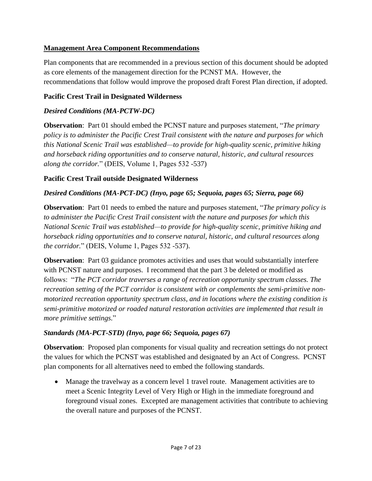## **Management Area Component Recommendations**

Plan components that are recommended in a previous section of this document should be adopted as core elements of the management direction for the PCNST MA. However, the recommendations that follow would improve the proposed draft Forest Plan direction, if adopted.

## **Pacific Crest Trail in Designated Wilderness**

## *Desired Conditions (MA-PCTW-DC)*

**Observation**: Part 01 should embed the PCNST nature and purposes statement, "*The primary policy is to administer the Pacific Crest Trail consistent with the nature and purposes for which this National Scenic Trail was established—to provide for high-quality scenic, primitive hiking and horseback riding opportunities and to conserve natural, historic, and cultural resources along the corridor.*" (DEIS, Volume 1, Pages 532 -537)

## **Pacific Crest Trail outside Designated Wilderness**

## *Desired Conditions (MA-PCT-DC) (Inyo, page 65; Sequoia, pages 65; Sierra, page 66)*

**Observation**: Part 01 needs to embed the nature and purposes statement, "*The primary policy is to administer the Pacific Crest Trail consistent with the nature and purposes for which this National Scenic Trail was established—to provide for high-quality scenic, primitive hiking and horseback riding opportunities and to conserve natural, historic, and cultural resources along the corridor.*" (DEIS, Volume 1, Pages 532 -537).

**Observation**: Part 03 guidance promotes activities and uses that would substantially interfere with PCNST nature and purposes. I recommend that the part 3 be deleted or modified as follows: "*The PCT corridor traverses a range of recreation opportunity spectrum classes. The recreation setting of the PCT corridor is consistent with or complements the semi-primitive nonmotorized recreation opportunity spectrum class, and in locations where the existing condition is semi-primitive motorized or roaded natural restoration activities are implemented that result in more primitive settings.*"

## *Standards (MA-PCT-STD) (Inyo, page 66; Sequoia, pages 67)*

**Observation**: Proposed plan components for visual quality and recreation settings do not protect the values for which the PCNST was established and designated by an Act of Congress. PCNST plan components for all alternatives need to embed the following standards.

 Manage the travelway as a concern level 1 travel route. Management activities are to meet a Scenic Integrity Level of Very High or High in the immediate foreground and foreground visual zones. Excepted are management activities that contribute to achieving the overall nature and purposes of the PCNST.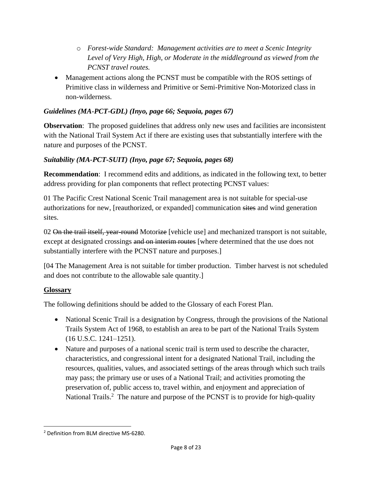- o *Forest-wide Standard: Management activities are to meet a Scenic Integrity Level of Very High, High, or Moderate in the middleground as viewed from the PCNST travel routes.*
- Management actions along the PCNST must be compatible with the ROS settings of Primitive class in wilderness and Primitive or Semi-Primitive Non-Motorized class in non-wilderness*.*

## *Guidelines (MA-PCT-GDL) (Inyo, page 66; Sequoia, pages 67)*

**Observation:** The proposed guidelines that address only new uses and facilities are inconsistent with the National Trail System Act if there are existing uses that substantially interfere with the nature and purposes of the PCNST.

## *Suitability (MA-PCT-SUIT) (Inyo, page 67; Sequoia, pages 68)*

**Recommendation**: I recommend edits and additions, as indicated in the following text, to better address providing for plan components that reflect protecting PCNST values:

01 The Pacific Crest National Scenic Trail management area is not suitable for special-use authorizations for new, [reauthorized, or expanded] communication sites and wind generation sites.

02 On the trail itself, year-round Motorize [vehicle use] and mechanized transport is not suitable, except at designated crossings and on interim routes where determined that the use does not substantially interfere with the PCNST nature and purposes.]

[04 The Management Area is not suitable for timber production. Timber harvest is not scheduled and does not contribute to the allowable sale quantity.]

## **Glossary**

The following definitions should be added to the Glossary of each Forest Plan.

- National Scenic Trail is a designation by Congress, through the provisions of the National Trails System Act of 1968, to establish an area to be part of the National Trails System (16 U.S.C. 1241–1251).
- Nature and purposes of a national scenic trail is term used to describe the character, characteristics, and congressional intent for a designated National Trail, including the resources, qualities, values, and associated settings of the areas through which such trails may pass; the primary use or uses of a National Trail; and activities promoting the preservation of, public access to, travel within, and enjoyment and appreciation of National Trails.<sup>2</sup> The nature and purpose of the PCNST is to provide for high-quality

l <sup>2</sup> Definition from BLM directive MS-6280.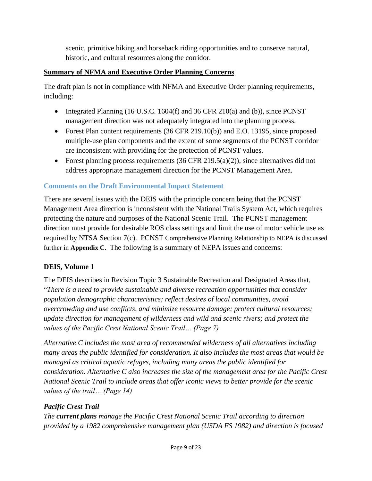scenic, primitive hiking and horseback riding opportunities and to conserve natural, historic, and cultural resources along the corridor.

# **Summary of NFMA and Executive Order Planning Concerns**

The draft plan is not in compliance with NFMA and Executive Order planning requirements, including:

- Integrated Planning (16 U.S.C. 1604(f) and 36 CFR 210(a) and (b)), since PCNST management direction was not adequately integrated into the planning process.
- Forest Plan content requirements (36 CFR 219.10(b)) and E.O. 13195, since proposed multiple-use plan components and the extent of some segments of the PCNST corridor are inconsistent with providing for the protection of PCNST values.
- Forest planning process requirements  $(36 \text{ CFR } 219.5(a)(2))$ , since alternatives did not address appropriate management direction for the PCNST Management Area.

# <span id="page-8-0"></span>**Comments on the Draft Environmental Impact Statement**

There are several issues with the DEIS with the principle concern being that the PCNST Management Area direction is inconsistent with the National Trails System Act, which requires protecting the nature and purposes of the National Scenic Trail. The PCNST management direction must provide for desirable ROS class settings and limit the use of motor vehicle use as required by NTSA Section 7(c). PCNST Comprehensive Planning Relationship to NEPA is discussed further in **Appendix C**. The following is a summary of NEPA issues and concerns:

## **DEIS, Volume 1**

The DEIS describes in Revision Topic 3 Sustainable Recreation and Designated Areas that, "*There is a need to provide sustainable and diverse recreation opportunities that consider population demographic characteristics; reflect desires of local communities, avoid overcrowding and use conflicts, and minimize resource damage; protect cultural resources; update direction for management of wilderness and wild and scenic rivers; and protect the values of the Pacific Crest National Scenic Trail… (Page 7)*

*Alternative C includes the most area of recommended wilderness of all alternatives including many areas the public identified for consideration. It also includes the most areas that would be managed as critical aquatic refuges, including many areas the public identified for consideration. Alternative C also increases the size of the management area for the Pacific Crest National Scenic Trail to include areas that offer iconic views to better provide for the scenic values of the trail… (Page 14)*

# *Pacific Crest Trail*

*The current plans manage the Pacific Crest National Scenic Trail according to direction provided by a 1982 comprehensive management plan (USDA FS 1982) and direction is focused*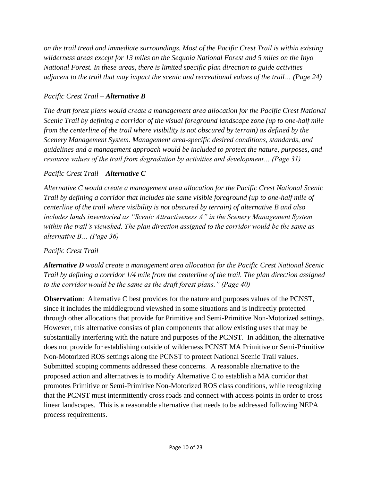*on the trail tread and immediate surroundings. Most of the Pacific Crest Trail is within existing wilderness areas except for 13 miles on the Sequoia National Forest and 5 miles on the Inyo National Forest. In these areas, there is limited specific plan direction to guide activities adjacent to the trail that may impact the scenic and recreational values of the trail… (Page 24)*

## *Pacific Crest Trail – Alternative B*

*The draft forest plans would create a management area allocation for the Pacific Crest National Scenic Trail by defining a corridor of the visual foreground landscape zone (up to one-half mile from the centerline of the trail where visibility is not obscured by terrain) as defined by the Scenery Management System. Management area-specific desired conditions, standards, and guidelines and a management approach would be included to protect the nature, purposes, and resource values of the trail from degradation by activities and development… (Page 31)*

### *Pacific Crest Trail – Alternative C*

*Alternative C would create a management area allocation for the Pacific Crest National Scenic Trail by defining a corridor that includes the same visible foreground (up to one-half mile of centerline of the trail where visibility is not obscured by terrain) of alternative B and also includes lands inventoried as "Scenic Attractiveness A" in the Scenery Management System within the trail's viewshed. The plan direction assigned to the corridor would be the same as alternative B… (Page 36)*

### *Pacific Crest Trail*

*Alternative D would create a management area allocation for the Pacific Crest National Scenic Trail by defining a corridor 1/4 mile from the centerline of the trail. The plan direction assigned to the corridor would be the same as the draft forest plans." (Page 40)*

**Observation**: Alternative C best provides for the nature and purposes values of the PCNST, since it includes the middleground viewshed in some situations and is indirectly protected through other allocations that provide for Primitive and Semi-Primitive Non-Motorized settings. However, this alternative consists of plan components that allow existing uses that may be substantially interfering with the nature and purposes of the PCNST. In addition, the alternative does not provide for establishing outside of wilderness PCNST MA Primitive or Semi-Primitive Non-Motorized ROS settings along the PCNST to protect National Scenic Trail values. Submitted scoping comments addressed these concerns. A reasonable alternative to the proposed action and alternatives is to modify Alternative C to establish a MA corridor that promotes Primitive or Semi-Primitive Non-Motorized ROS class conditions, while recognizing that the PCNST must intermittently cross roads and connect with access points in order to cross linear landscapes. This is a reasonable alternative that needs to be addressed following NEPA process requirements.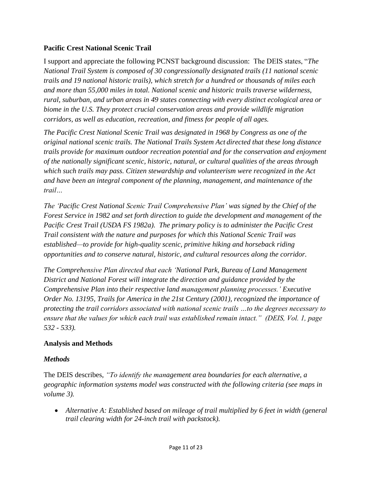### **Pacific Crest National Scenic Trail**

I support and appreciate the following PCNST background discussion: The DEIS states, "*The National Trail System is composed of 30 congressionally designated trails (11 national scenic trails and 19 national historic trails), which stretch for a hundred or thousands of miles each and more than 55,000 miles in total. National scenic and historic trails traverse wilderness, rural, suburban, and urban areas in 49 states connecting with every distinct ecological area or biome in the U.S. They protect crucial conservation areas and provide wildlife migration corridors, as well as education, recreation, and fitness for people of all ages.* 

*The Pacific Crest National Scenic Trail was designated in 1968 by Congress as one of the original national scenic trails. The National Trails System Act directed that these long distance trails provide for maximum outdoor recreation potential and for the conservation and enjoyment of the nationally significant scenic, historic, natural, or cultural qualities of the areas through which such trails may pass. Citizen stewardship and volunteerism were recognized in the Act and have been an integral component of the planning, management, and maintenance of the trail…*

*The 'Pacific Crest National Scenic Trail Comprehensive Plan' was signed by the Chief of the Forest Service in 1982 and set forth direction to guide the development and management of the Pacific Crest Trail (USDA FS 1982a). The primary policy is to administer the Pacific Crest Trail consistent with the nature and purposes for which this National Scenic Trail was established—to provide for high-quality scenic, primitive hiking and horseback riding opportunities and to conserve natural, historic, and cultural resources along the corridor.*

*The Comprehensive Plan directed that each 'National Park, Bureau of Land Management District and National Forest will integrate the direction and guidance provided by the Comprehensive Plan into their respective land management planning processes.' Executive Order No. 13195, Trails for America in the 21st Century (2001), recognized the importance of protecting the trail corridors associated with national scenic trails …to the degrees necessary to ensure that the values for which each trail was established remain intact." (DEIS, Vol. 1, page 532 - 533).*

### **Analysis and Methods**

### *Methods*

The DEIS describes, *"To identify the management area boundaries for each alternative, a geographic information systems model was constructed with the following criteria (see maps in volume 3).* 

• Alternative A: Established based on mileage of trail multiplied by 6 feet in width (general *trail clearing width for 24-inch trail with packstock).*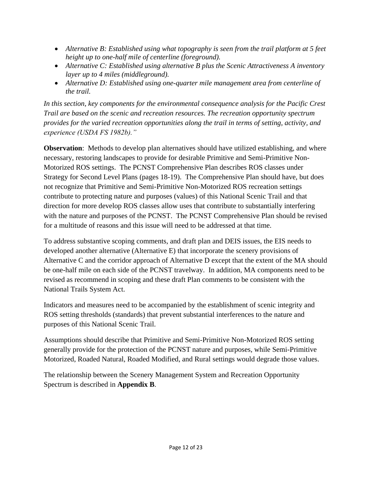- *Alternative B: Established using what topography is seen from the trail platform at 5 feet height up to one-half mile of centerline (foreground).*
- *Alternative C: Established using alternative B plus the Scenic Attractiveness A inventory layer up to 4 miles (middleground).*
- *Alternative D: Established using one-quarter mile management area from centerline of the trail.*

*In this section, key components for the environmental consequence analysis for the Pacific Crest Trail are based on the scenic and recreation resources. The recreation opportunity spectrum provides for the varied recreation opportunities along the trail in terms of setting, activity, and experience (USDA FS 1982b)."*

**Observation**: Methods to develop plan alternatives should have utilized establishing, and where necessary, restoring landscapes to provide for desirable Primitive and Semi-Primitive Non-Motorized ROS settings. The PCNST Comprehensive Plan describes ROS classes under Strategy for Second Level Plans (pages 18-19). The Comprehensive Plan should have, but does not recognize that Primitive and Semi-Primitive Non-Motorized ROS recreation settings contribute to protecting nature and purposes (values) of this National Scenic Trail and that direction for more develop ROS classes allow uses that contribute to substantially interfering with the nature and purposes of the PCNST. The PCNST Comprehensive Plan should be revised for a multitude of reasons and this issue will need to be addressed at that time.

To address substantive scoping comments, and draft plan and DEIS issues, the EIS needs to developed another alternative (Alternative E) that incorporate the scenery provisions of Alternative C and the corridor approach of Alternative D except that the extent of the MA should be one-half mile on each side of the PCNST travelway. In addition, MA components need to be revised as recommend in scoping and these draft Plan comments to be consistent with the National Trails System Act.

Indicators and measures need to be accompanied by the establishment of scenic integrity and ROS setting thresholds (standards) that prevent substantial interferences to the nature and purposes of this National Scenic Trail.

Assumptions should describe that Primitive and Semi-Primitive Non-Motorized ROS setting generally provide for the protection of the PCNST nature and purposes, while Semi-Primitive Motorized, Roaded Natural, Roaded Modified, and Rural settings would degrade those values.

The relationship between the Scenery Management System and Recreation Opportunity Spectrum is described in **Appendix B**.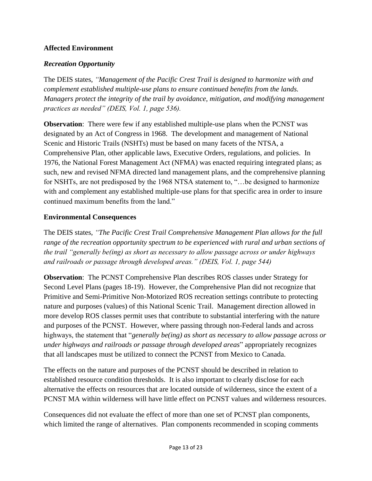## **Affected Environment**

### *Recreation Opportunity*

The DEIS states, *"Management of the Pacific Crest Trail is designed to harmonize with and complement established multiple-use plans to ensure continued benefits from the lands. Managers protect the integrity of the trail by avoidance, mitigation, and modifying management practices as needed" (DEIS, Vol. 1, page 536).*

**Observation**: There were few if any established multiple-use plans when the PCNST was designated by an Act of Congress in 1968. The development and management of National Scenic and Historic Trails (NSHTs) must be based on many facets of the NTSA, a Comprehensive Plan, other applicable laws, Executive Orders, regulations, and policies. In 1976, the National Forest Management Act (NFMA) was enacted requiring integrated plans; as such, new and revised NFMA directed land management plans, and the comprehensive planning for NSHTs, are not predisposed by the 1968 NTSA statement to, "...be designed to harmonize with and complement any established multiple-use plans for that specific area in order to insure continued maximum benefits from the land."

### **Environmental Consequences**

The DEIS states, *"The Pacific Crest Trail Comprehensive Management Plan allows for the full range of the recreation opportunity spectrum to be experienced with rural and urban sections of the trail "generally be(ing) as short as necessary to allow passage across or under highways and railroads or passage through developed areas." (DEIS, Vol. 1, page 544)*

**Observation**: The PCNST Comprehensive Plan describes ROS classes under Strategy for Second Level Plans (pages 18-19). However, the Comprehensive Plan did not recognize that Primitive and Semi-Primitive Non-Motorized ROS recreation settings contribute to protecting nature and purposes (values) of this National Scenic Trail. Management direction allowed in more develop ROS classes permit uses that contribute to substantial interfering with the nature and purposes of the PCNST. However, where passing through non-Federal lands and across highways, the statement that "*generally be(ing) as short as necessary to allow passage across or under highways and railroads or passage through developed areas*" appropriately recognizes that all landscapes must be utilized to connect the PCNST from Mexico to Canada.

The effects on the nature and purposes of the PCNST should be described in relation to established resource condition thresholds. It is also important to clearly disclose for each alternative the effects on resources that are located outside of wilderness, since the extent of a PCNST MA within wilderness will have little effect on PCNST values and wilderness resources.

Consequences did not evaluate the effect of more than one set of PCNST plan components, which limited the range of alternatives. Plan components recommended in scoping comments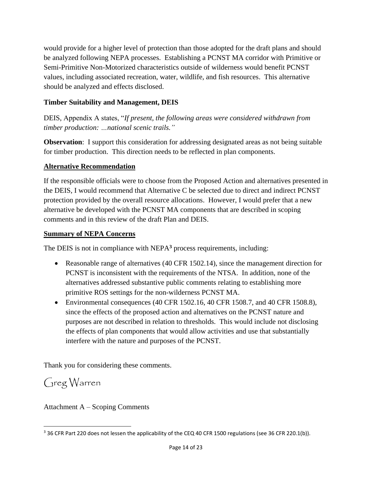would provide for a higher level of protection than those adopted for the draft plans and should be analyzed following NEPA processes. Establishing a PCNST MA corridor with Primitive or Semi-Primitive Non-Motorized characteristics outside of wilderness would benefit PCNST values, including associated recreation, water, wildlife, and fish resources. This alternative should be analyzed and effects disclosed.

## **Timber Suitability and Management, DEIS**

DEIS, Appendix A states, "*If present, the following areas were considered withdrawn from timber production: …national scenic trails."*

**Observation**: I support this consideration for addressing designated areas as not being suitable for timber production. This direction needs to be reflected in plan components.

## **Alternative Recommendation**

If the responsible officials were to choose from the Proposed Action and alternatives presented in the DEIS, I would recommend that Alternative C be selected due to direct and indirect PCNST protection provided by the overall resource allocations. However, I would prefer that a new alternative be developed with the PCNST MA components that are described in scoping comments and in this review of the draft Plan and DEIS.

## **Summary of NEPA Concerns**

The DEIS is not in compliance with NEPA<sup>3</sup> process requirements, including:

- Reasonable range of alternatives (40 CFR 1502.14), since the management direction for PCNST is inconsistent with the requirements of the NTSA. In addition, none of the alternatives addressed substantive public comments relating to establishing more primitive ROS settings for the non-wilderness PCNST MA.
- Environmental consequences  $(40 \text{ CFR } 1502.16, 40 \text{ CFR } 1508.7, \text{ and } 40 \text{ CFR } 1508.8)$ , since the effects of the proposed action and alternatives on the PCNST nature and purposes are not described in relation to thresholds. This would include not disclosing the effects of plan components that would allow activities and use that substantially interfere with the nature and purposes of the PCNST.

Thank you for considering these comments.

Greg Warren

l

Attachment A – Scoping Comments

<sup>&</sup>lt;sup>3</sup> 36 CFR Part 220 does not lessen the applicability of the CEQ 40 CFR 1500 regulations (see 36 CFR 220.1(b)).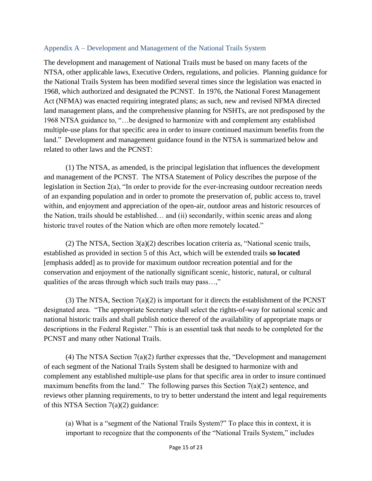### <span id="page-14-0"></span>Appendix A – Development and Management of the National Trails System

The development and management of National Trails must be based on many facets of the NTSA, other applicable laws, Executive Orders, regulations, and policies. Planning guidance for the National Trails System has been modified several times since the legislation was enacted in 1968, which authorized and designated the PCNST. In 1976, the National Forest Management Act (NFMA) was enacted requiring integrated plans; as such, new and revised NFMA directed land management plans, and the comprehensive planning for NSHTs, are not predisposed by the 1968 NTSA guidance to, "…be designed to harmonize with and complement any established multiple-use plans for that specific area in order to insure continued maximum benefits from the land." Development and management guidance found in the NTSA is summarized below and related to other laws and the PCNST:

(1) The NTSA, as amended, is the principal legislation that influences the development and management of the PCNST. The NTSA Statement of Policy describes the purpose of the legislation in Section 2(a), "In order to provide for the ever-increasing outdoor recreation needs of an expanding population and in order to promote the preservation of, public access to, travel within, and enjoyment and appreciation of the open-air, outdoor areas and historic resources of the Nation, trails should be established… and (ii) secondarily, within scenic areas and along historic travel routes of the Nation which are often more remotely located."

(2) The NTSA, Section 3(a)(2) describes location criteria as, "National scenic trails, established as provided in section 5 of this Act, which will be extended trails **so located** [emphasis added] as to provide for maximum outdoor recreation potential and for the conservation and enjoyment of the nationally significant scenic, historic, natural, or cultural qualities of the areas through which such trails may pass…,"

(3) The NTSA, Section 7(a)(2) is important for it directs the establishment of the PCNST designated area. "The appropriate Secretary shall select the rights-of-way for national scenic and national historic trails and shall publish notice thereof of the availability of appropriate maps or descriptions in the Federal Register." This is an essential task that needs to be completed for the PCNST and many other National Trails.

(4) The NTSA Section 7(a)(2) further expresses that the, "Development and management of each segment of the National Trails System shall be designed to harmonize with and complement any established multiple-use plans for that specific area in order to insure continued maximum benefits from the land." The following parses this Section  $7(a)(2)$  sentence, and reviews other planning requirements, to try to better understand the intent and legal requirements of this NTSA Section 7(a)(2) guidance:

(a) What is a "segment of the National Trails System?" To place this in context, it is important to recognize that the components of the "National Trails System," includes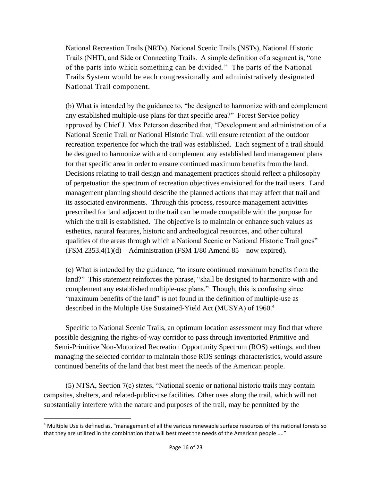National Recreation Trails (NRTs), National Scenic Trails (NSTs), National Historic Trails (NHT), and Side or Connecting Trails. A simple definition of a segment is, "one of the parts into which something can be divided." The parts of the National Trails System would be each congressionally and administratively designated National Trail component.

(b) What is intended by the guidance to, "be designed to harmonize with and complement any established multiple-use plans for that specific area?" Forest Service policy approved by Chief J. Max Peterson described that, "Development and administration of a National Scenic Trail or National Historic Trail will ensure retention of the outdoor recreation experience for which the trail was established. Each segment of a trail should be designed to harmonize with and complement any established land management plans for that specific area in order to ensure continued maximum benefits from the land. Decisions relating to trail design and management practices should reflect a philosophy of perpetuation the spectrum of recreation objectives envisioned for the trail users. Land management planning should describe the planned actions that may affect that trail and its associated environments. Through this process, resource management activities prescribed for land adjacent to the trail can be made compatible with the purpose for which the trail is established. The objective is to maintain or enhance such values as esthetics, natural features, historic and archeological resources, and other cultural qualities of the areas through which a National Scenic or National Historic Trail goes"  $(FSM 2353.4(1)(d) -$  Administration  $(FSM 1/80$  Amend  $85 -$  now expired).

(c) What is intended by the guidance, "to insure continued maximum benefits from the land?" This statement reinforces the phrase, "shall be designed to harmonize with and complement any established multiple-use plans." Though, this is confusing since "maximum benefits of the land" is not found in the definition of multiple-use as described in the Multiple Use Sustained-Yield Act (MUSYA) of 1960.<sup>4</sup>

Specific to National Scenic Trails, an optimum location assessment may find that where possible designing the rights-of-way corridor to pass through inventoried Primitive and Semi-Primitive Non-Motorized Recreation Opportunity Spectrum (ROS) settings, and then managing the selected corridor to maintain those ROS settings characteristics, would assure continued benefits of the land that best meet the needs of the American people.

(5) NTSA, Section 7(c) states, "National scenic or national historic trails may contain campsites, shelters, and related-public-use facilities. Other uses along the trail, which will not substantially interfere with the nature and purposes of the trail, may be permitted by the

 $\overline{\phantom{a}}$ 

<sup>4</sup> Multiple Use is defined as, "management of all the various renewable surface resources of the national forests so that they are utilized in the combination that will best meet the needs of the American people ...."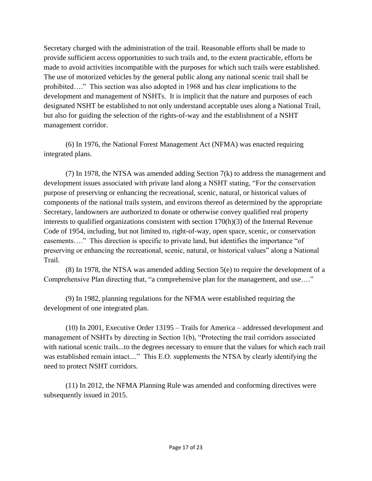Secretary charged with the administration of the trail. Reasonable efforts shall be made to provide sufficient access opportunities to such trails and, to the extent practicable, efforts be made to avoid activities incompatible with the purposes for which such trails were established. The use of motorized vehicles by the general public along any national scenic trail shall be prohibited…." This section was also adopted in 1968 and has clear implications to the development and management of NSHTs. It is implicit that the nature and purposes of each designated NSHT be established to not only understand acceptable uses along a National Trail, but also for guiding the selection of the rights-of-way and the establishment of a NSHT management corridor.

(6) In 1976, the National Forest Management Act (NFMA) was enacted requiring integrated plans.

(7) In 1978, the NTSA was amended adding Section 7(k) to address the management and development issues associated with private land along a NSHT stating, "For the conservation purpose of preserving or enhancing the recreational, scenic, natural, or historical values of components of the national trails system, and environs thereof as determined by the appropriate Secretary, landowners are authorized to donate or otherwise convey qualified real property interests to qualified organizations consistent with section 170(h)(3) of the Internal Revenue Code of 1954, including, but not limited to, right-of-way, open space, scenic, or conservation easements…." This direction is specific to private land, but identifies the importance "of preserving or enhancing the recreational, scenic, natural, or historical values" along a National Trail.

(8) In 1978, the NTSA was amended adding Section 5(e) to require the development of a Comprehensive Plan directing that, "a comprehensive plan for the management, and use…."

(9) In 1982, planning regulations for the NFMA were established requiring the development of one integrated plan.

(10) In 2001, Executive Order 13195 – Trails for America – addressed development and management of NSHTs by directing in Section 1(b), "Protecting the trail corridors associated with national scenic trails...to the degrees necessary to ensure that the values for which each trail was established remain intact...." This E.O. supplements the NTSA by clearly identifying the need to protect NSHT corridors.

(11) In 2012, the NFMA Planning Rule was amended and conforming directives were subsequently issued in 2015.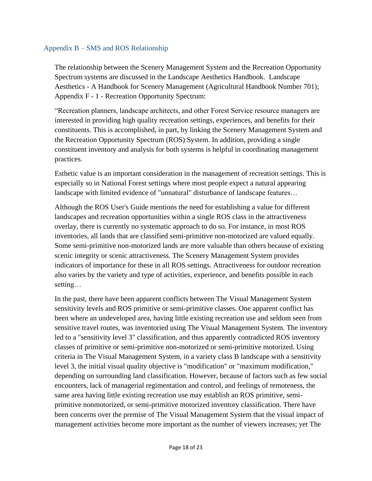### <span id="page-17-0"></span>Appendix B – SMS and ROS Relationship

The relationship between the Scenery Management System and the Recreation Opportunity Spectrum systems are discussed in the Landscape Aesthetics Handbook. Landscape Aesthetics - A Handbook for Scenery Management (Agricultural Handbook Number 701); Appendix F - 1 - Recreation Opportunity Spectrum:

"Recreation planners, landscape architects, and other Forest Service resource managers are interested in providing high quality recreation settings, experiences, and benefits for their constituents. This is accomplished, in part, by linking the Scenery Management System and the Recreation Opportunity Spectrum (ROS) System. In addition, providing a single constituent inventory and analysis for both systems is helpful in coordinating management practices.

Esthetic value is an important consideration in the management of recreation settings. This is especially so in National Forest settings where most people expect a natural appearing landscape with limited evidence of "unnatural" disturbance of landscape features…

Although the ROS User's Guide mentions the need for establishing a value for different landscapes and recreation opportunities within a single ROS class in the attractiveness overlay, there is currently no systematic approach to do so. For instance, in most ROS inventories, all lands that are classified semi-primitive non-motorized are valued equally. Some semi-primitive non-motorized lands are more valuable than others because of existing scenic integrity or scenic attractiveness. The Scenery Management System provides indicators of importance for these in all ROS settings. Attractiveness for outdoor recreation also varies by the variety and type of activities, experience, and benefits possible in each setting…

In the past, there have been apparent conflicts between The Visual Management System sensitivity levels and ROS primitive or semi-primitive classes. One apparent conflict has been where an undeveloped area, having little existing recreation use and seldom seen from sensitive travel routes, was inventoried using The Visual Management System. The inventory led to a "sensitivity level 3" classification, and thus apparently contradicted ROS inventory classes of primitive or semi-primitive non-motorized or semi-primitive motorized. Using criteria in The Visual Management System, in a variety class B landscape with a sensitivity level 3, the initial visual quality objective is "modification" or "maximum modification," depending on surrounding land classification. However, because of factors such as few social encounters, lack of managerial regimentation and control, and feelings of remoteness, the same area having little existing recreation use may establish an ROS primitive, semiprimitive nonmotorized, or semi-primitive motorized inventory classification. There have been concerns over the premise of The Visual Management System that the visual impact of management activities become more important as the number of viewers increases; yet The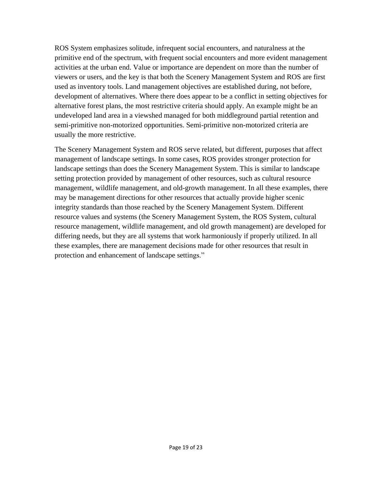ROS System emphasizes solitude, infrequent social encounters, and naturalness at the primitive end of the spectrum, with frequent social encounters and more evident management activities at the urban end. Value or importance are dependent on more than the number of viewers or users, and the key is that both the Scenery Management System and ROS are first used as inventory tools. Land management objectives are established during, not before, development of alternatives. Where there does appear to be a conflict in setting objectives for alternative forest plans, the most restrictive criteria should apply. An example might be an undeveloped land area in a viewshed managed for both middleground partial retention and semi-primitive non-motorized opportunities. Semi-primitive non-motorized criteria are usually the more restrictive.

The Scenery Management System and ROS serve related, but different, purposes that affect management of landscape settings. In some cases, ROS provides stronger protection for landscape settings than does the Scenery Management System. This is similar to landscape setting protection provided by management of other resources, such as cultural resource management, wildlife management, and old-growth management. In all these examples, there may be management directions for other resources that actually provide higher scenic integrity standards than those reached by the Scenery Management System. Different resource values and systems (the Scenery Management System, the ROS System, cultural resource management, wildlife management, and old growth management) are developed for differing needs, but they are all systems that work harmoniously if properly utilized. In all these examples, there are management decisions made for other resources that result in protection and enhancement of landscape settings."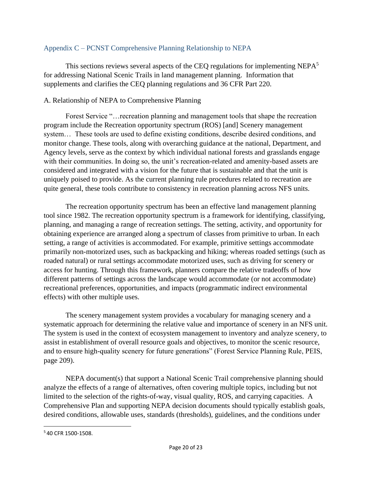### <span id="page-19-0"></span>Appendix C – PCNST Comprehensive Planning Relationship to NEPA

This sections reviews several aspects of the CEQ regulations for implementing  $NEPA<sup>5</sup>$ for addressing National Scenic Trails in land management planning. Information that supplements and clarifies the CEQ planning regulations and 36 CFR Part 220.

### A. Relationship of NEPA to Comprehensive Planning

Forest Service "…recreation planning and management tools that shape the recreation program include the Recreation opportunity spectrum (ROS) [and] Scenery management system… These tools are used to define existing conditions, describe desired conditions, and monitor change. These tools, along with overarching guidance at the national, Department, and Agency levels, serve as the context by which individual national forests and grasslands engage with their communities. In doing so, the unit's recreation-related and amenity-based assets are considered and integrated with a vision for the future that is sustainable and that the unit is uniquely poised to provide. As the current planning rule procedures related to recreation are quite general, these tools contribute to consistency in recreation planning across NFS units.

The recreation opportunity spectrum has been an effective land management planning tool since 1982. The recreation opportunity spectrum is a framework for identifying, classifying, planning, and managing a range of recreation settings. The setting, activity, and opportunity for obtaining experience are arranged along a spectrum of classes from primitive to urban. In each setting, a range of activities is accommodated. For example, primitive settings accommodate primarily non-motorized uses, such as backpacking and hiking; whereas roaded settings (such as roaded natural) or rural settings accommodate motorized uses, such as driving for scenery or access for hunting. Through this framework, planners compare the relative tradeoffs of how different patterns of settings across the landscape would accommodate (or not accommodate) recreational preferences, opportunities, and impacts (programmatic indirect environmental effects) with other multiple uses.

The scenery management system provides a vocabulary for managing scenery and a systematic approach for determining the relative value and importance of scenery in an NFS unit. The system is used in the context of ecosystem management to inventory and analyze scenery, to assist in establishment of overall resource goals and objectives, to monitor the scenic resource, and to ensure high-quality scenery for future generations" (Forest Service Planning Rule, PEIS, page 209).

NEPA document(s) that support a National Scenic Trail comprehensive planning should analyze the effects of a range of alternatives, often covering multiple topics, including but not limited to the selection of the rights-of-way, visual quality, ROS, and carrying capacities. A Comprehensive Plan and supporting NEPA decision documents should typically establish goals, desired conditions, allowable uses, standards (thresholds), guidelines, and the conditions under

l

<sup>5</sup> 40 CFR 1500-1508.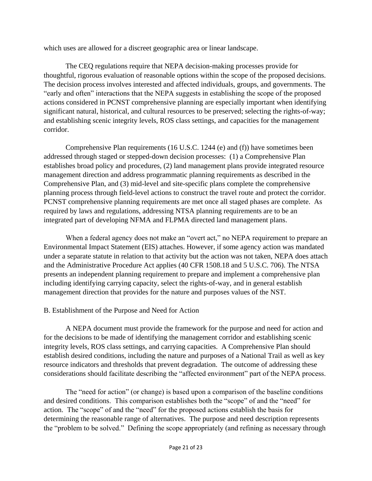which uses are allowed for a discreet geographic area or linear landscape.

The CEQ regulations require that NEPA decision-making processes provide for thoughtful, rigorous evaluation of reasonable options within the scope of the proposed decisions. The decision process involves interested and affected individuals, groups, and governments. The "early and often" interactions that the NEPA suggests in establishing the scope of the proposed actions considered in PCNST comprehensive planning are especially important when identifying significant natural, historical, and cultural resources to be preserved; selecting the rights-of-way; and establishing scenic integrity levels, ROS class settings, and capacities for the management corridor.

Comprehensive Plan requirements (16 U.S.C. 1244 (e) and (f)) have sometimes been addressed through staged or stepped-down decision processes: (1) a Comprehensive Plan establishes broad policy and procedures, (2) land management plans provide integrated resource management direction and address programmatic planning requirements as described in the Comprehensive Plan, and (3) mid-level and site-specific plans complete the comprehensive planning process through field-level actions to construct the travel route and protect the corridor. PCNST comprehensive planning requirements are met once all staged phases are complete. As required by laws and regulations, addressing NTSA planning requirements are to be an integrated part of developing NFMA and FLPMA directed land management plans.

When a federal agency does not make an "overt act," no NEPA requirement to prepare an Environmental Impact Statement (EIS) attaches. However, if some agency action was mandated under a separate statute in relation to that activity but the action was not taken, NEPA does attach and the Administrative Procedure Act applies (40 CFR 1508.18 and 5 U.S.C. 706). The NTSA presents an independent planning requirement to prepare and implement a comprehensive plan including identifying carrying capacity, select the rights-of-way, and in general establish management direction that provides for the nature and purposes values of the NST.

### B. Establishment of the Purpose and Need for Action

A NEPA document must provide the framework for the purpose and need for action and for the decisions to be made of identifying the management corridor and establishing scenic integrity levels, ROS class settings, and carrying capacities. A Comprehensive Plan should establish desired conditions, including the nature and purposes of a National Trail as well as key resource indicators and thresholds that prevent degradation. The outcome of addressing these considerations should facilitate describing the "affected environment" part of the NEPA process.

The "need for action" (or change) is based upon a comparison of the baseline conditions and desired conditions. This comparison establishes both the "scope" of and the "need" for action. The "scope" of and the "need" for the proposed actions establish the basis for determining the reasonable range of alternatives. The purpose and need description represents the "problem to be solved." Defining the scope appropriately (and refining as necessary through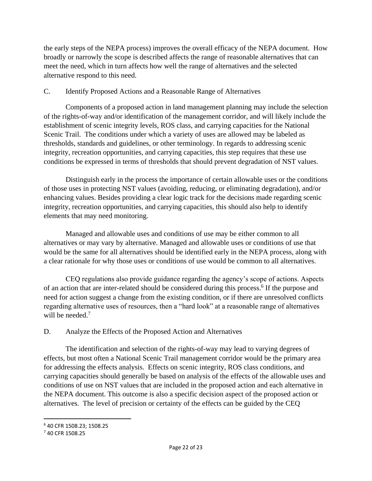the early steps of the NEPA process) improves the overall efficacy of the NEPA document. How broadly or narrowly the scope is described affects the range of reasonable alternatives that can meet the need, which in turn affects how well the range of alternatives and the selected alternative respond to this need.

### C. Identify Proposed Actions and a Reasonable Range of Alternatives

Components of a proposed action in land management planning may include the selection of the rights-of-way and/or identification of the management corridor, and will likely include the establishment of scenic integrity levels, ROS class, and carrying capacities for the National Scenic Trail. The conditions under which a variety of uses are allowed may be labeled as thresholds, standards and guidelines, or other terminology. In regards to addressing scenic integrity, recreation opportunities, and carrying capacities, this step requires that these use conditions be expressed in terms of thresholds that should prevent degradation of NST values.

Distinguish early in the process the importance of certain allowable uses or the conditions of those uses in protecting NST values (avoiding, reducing, or eliminating degradation), and/or enhancing values. Besides providing a clear logic track for the decisions made regarding scenic integrity, recreation opportunities, and carrying capacities, this should also help to identify elements that may need monitoring.

Managed and allowable uses and conditions of use may be either common to all alternatives or may vary by alternative. Managed and allowable uses or conditions of use that would be the same for all alternatives should be identified early in the NEPA process, along with a clear rationale for why those uses or conditions of use would be common to all alternatives.

CEQ regulations also provide guidance regarding the agency's scope of actions. Aspects of an action that are inter-related should be considered during this process.<sup>6</sup> If the purpose and need for action suggest a change from the existing condition, or if there are unresolved conflicts regarding alternative uses of resources, then a "hard look" at a reasonable range of alternatives will be needed.<sup>7</sup>

## D. Analyze the Effects of the Proposed Action and Alternatives

The identification and selection of the rights-of-way may lead to varying degrees of effects, but most often a National Scenic Trail management corridor would be the primary area for addressing the effects analysis. Effects on scenic integrity, ROS class conditions, and carrying capacities should generally be based on analysis of the effects of the allowable uses and conditions of use on NST values that are included in the proposed action and each alternative in the NEPA document. This outcome is also a specific decision aspect of the proposed action or alternatives. The level of precision or certainty of the effects can be guided by the CEQ

 $\overline{\phantom{a}}$ 

<sup>6</sup> 40 CFR 1508.23; 1508.25

<sup>7</sup> 40 CFR 1508.25